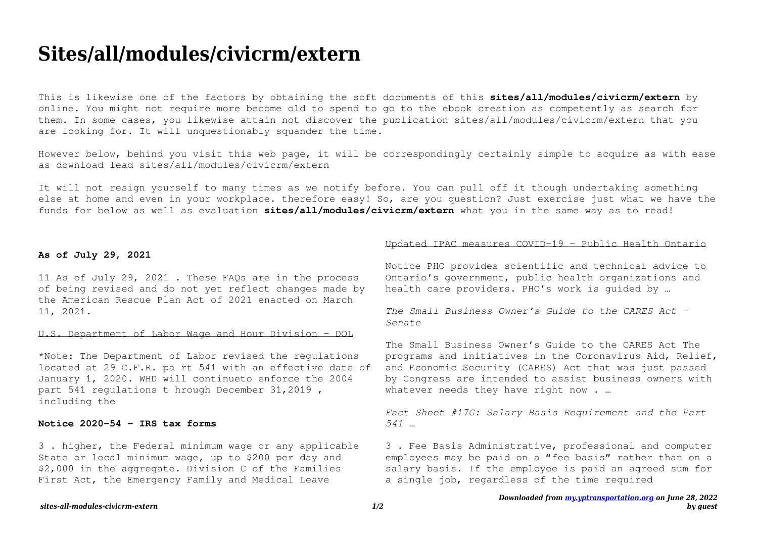# **Sites/all/modules/civicrm/extern**

This is likewise one of the factors by obtaining the soft documents of this **sites/all/modules/civicrm/extern** by online. You might not require more become old to spend to go to the ebook creation as competently as search for them. In some cases, you likewise attain not discover the publication sites/all/modules/civicrm/extern that you are looking for. It will unquestionably squander the time.

However below, behind you visit this web page, it will be correspondingly certainly simple to acquire as with ease as download lead sites/all/modules/civicrm/extern

It will not resign yourself to many times as we notify before. You can pull off it though undertaking something else at home and even in your workplace. therefore easy! So, are you question? Just exercise just what we have the funds for below as well as evaluation **sites/all/modules/civicrm/extern** what you in the same way as to read!

#### **As of July 29, 2021**

11 As of July 29, 2021 . These FAQs are in the process of being revised and do not yet reflect changes made by the American Rescue Plan Act of 2021 enacted on March 11, 2021.

# U.S. Department of Labor Wage and Hour Division - DOL

\*Note: The Department of Labor revised the regulations located at 29 C.F.R. pa rt 541 with an effective date of January 1, 2020. WHD will continueto enforce the 2004 part 541 regulations t hrough December 31,2019 , including the

## **Notice 2020-54 - IRS tax forms**

3 . higher, the Federal minimum wage or any applicable State or local minimum wage, up to \$200 per day and \$2,000 in the aggregate. Division C of the Families First Act, the Emergency Family and Medical Leave

## Updated IPAC measures COVID-19 - Public Health Ontario

Notice PHO provides scientific and technical advice to Ontario's government, public health organizations and health care providers. PHO's work is guided by …

*The Small Business Owner's Guide to the CARES Act - Senate*

The Small Business Owner's Guide to the CARES Act The programs and initiatives in the Coronavirus Aid, Relief, and Economic Security (CARES) Act that was just passed by Congress are intended to assist business owners with whatever needs they have right now . ...

*Fact Sheet #17G: Salary Basis Requirement and the Part 541 …*

3 . Fee Basis Administrative, professional and computer employees may be paid on a "fee basis" rather than on a salary basis. If the employee is paid an agreed sum for a single job, regardless of the time required